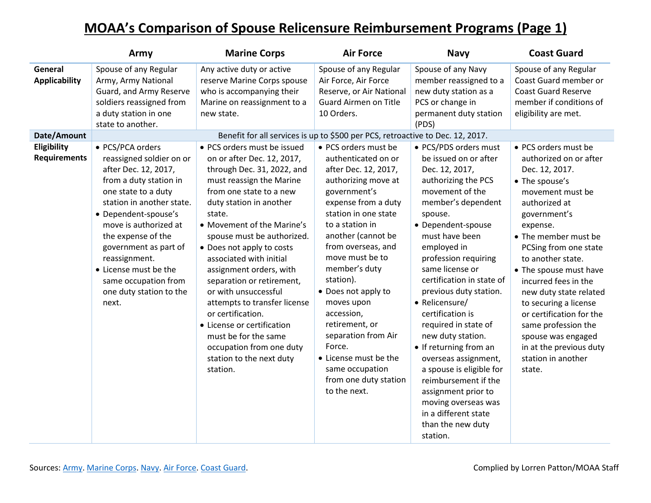## **MOAA's Comparison of Spouse Relicensure Reimbursement Programs (Page 1)**

|                                    | Army                                                                                                                                                                                                                                                                                                                                                     | <b>Marine Corps</b>                                                                                                                                                                                                                                                                                                                                                                                                                                                                                                                                                    | <b>Air Force</b>                                                                                                                                                                                                                                                                                                                                                                                                                                                     | <b>Navy</b>                                                                                                                                                                                                                                                                                                                                                                                                                                                                                                                                                                                          | <b>Coast Guard</b>                                                                                                                                                                                                                                                                                                                                                                                                                                                 |  |  |  |
|------------------------------------|----------------------------------------------------------------------------------------------------------------------------------------------------------------------------------------------------------------------------------------------------------------------------------------------------------------------------------------------------------|------------------------------------------------------------------------------------------------------------------------------------------------------------------------------------------------------------------------------------------------------------------------------------------------------------------------------------------------------------------------------------------------------------------------------------------------------------------------------------------------------------------------------------------------------------------------|----------------------------------------------------------------------------------------------------------------------------------------------------------------------------------------------------------------------------------------------------------------------------------------------------------------------------------------------------------------------------------------------------------------------------------------------------------------------|------------------------------------------------------------------------------------------------------------------------------------------------------------------------------------------------------------------------------------------------------------------------------------------------------------------------------------------------------------------------------------------------------------------------------------------------------------------------------------------------------------------------------------------------------------------------------------------------------|--------------------------------------------------------------------------------------------------------------------------------------------------------------------------------------------------------------------------------------------------------------------------------------------------------------------------------------------------------------------------------------------------------------------------------------------------------------------|--|--|--|
| General<br><b>Applicability</b>    | Spouse of any Regular<br>Army, Army National<br>Guard, and Army Reserve<br>soldiers reassigned from<br>a duty station in one<br>state to another.                                                                                                                                                                                                        | Any active duty or active<br>reserve Marine Corps spouse<br>who is accompanying their<br>Marine on reassignment to a<br>new state.                                                                                                                                                                                                                                                                                                                                                                                                                                     | Spouse of any Regular<br>Air Force, Air Force<br>Reserve, or Air National<br>Guard Airmen on Title<br>10 Orders.                                                                                                                                                                                                                                                                                                                                                     | Spouse of any Navy<br>member reassigned to a<br>new duty station as a<br>PCS or change in<br>permanent duty station<br>(PDS)                                                                                                                                                                                                                                                                                                                                                                                                                                                                         | Spouse of any Regular<br>Coast Guard member or<br><b>Coast Guard Reserve</b><br>member if conditions of<br>eligibility are met.                                                                                                                                                                                                                                                                                                                                    |  |  |  |
| Date/Amount                        | Benefit for all services is up to \$500 per PCS, retroactive to Dec. 12, 2017.                                                                                                                                                                                                                                                                           |                                                                                                                                                                                                                                                                                                                                                                                                                                                                                                                                                                        |                                                                                                                                                                                                                                                                                                                                                                                                                                                                      |                                                                                                                                                                                                                                                                                                                                                                                                                                                                                                                                                                                                      |                                                                                                                                                                                                                                                                                                                                                                                                                                                                    |  |  |  |
| Eligibility<br><b>Requirements</b> | • PCS/PCA orders<br>reassigned soldier on or<br>after Dec. 12, 2017,<br>from a duty station in<br>one state to a duty<br>station in another state.<br>• Dependent-spouse's<br>move is authorized at<br>the expense of the<br>government as part of<br>reassignment.<br>• License must be the<br>same occupation from<br>one duty station to the<br>next. | • PCS orders must be issued<br>on or after Dec. 12, 2017,<br>through Dec. 31, 2022, and<br>must reassign the Marine<br>from one state to a new<br>duty station in another<br>state.<br>• Movement of the Marine's<br>spouse must be authorized.<br>• Does not apply to costs<br>associated with initial<br>assignment orders, with<br>separation or retirement,<br>or with unsuccessful<br>attempts to transfer license<br>or certification.<br>• License or certification<br>must be for the same<br>occupation from one duty<br>station to the next duty<br>station. | • PCS orders must be<br>authenticated on or<br>after Dec. 12, 2017,<br>authorizing move at<br>government's<br>expense from a duty<br>station in one state<br>to a station in<br>another (cannot be<br>from overseas, and<br>move must be to<br>member's duty<br>station).<br>• Does not apply to<br>moves upon<br>accession,<br>retirement, or<br>separation from Air<br>Force.<br>• License must be the<br>same occupation<br>from one duty station<br>to the next. | • PCS/PDS orders must<br>be issued on or after<br>Dec. 12, 2017,<br>authorizing the PCS<br>movement of the<br>member's dependent<br>spouse.<br>• Dependent-spouse<br>must have been<br>employed in<br>profession requiring<br>same license or<br>certification in state of<br>previous duty station.<br>• Relicensure/<br>certification is<br>required in state of<br>new duty station.<br>• If returning from an<br>overseas assignment,<br>a spouse is eligible for<br>reimbursement if the<br>assignment prior to<br>moving overseas was<br>in a different state<br>than the new duty<br>station. | • PCS orders must be<br>authorized on or after<br>Dec. 12, 2017.<br>• The spouse's<br>movement must be<br>authorized at<br>government's<br>expense.<br>• The member must be<br>PCSing from one state<br>to another state.<br>• The spouse must have<br>incurred fees in the<br>new duty state related<br>to securing a license<br>or certification for the<br>same profession the<br>spouse was engaged<br>in at the previous duty<br>station in another<br>state. |  |  |  |